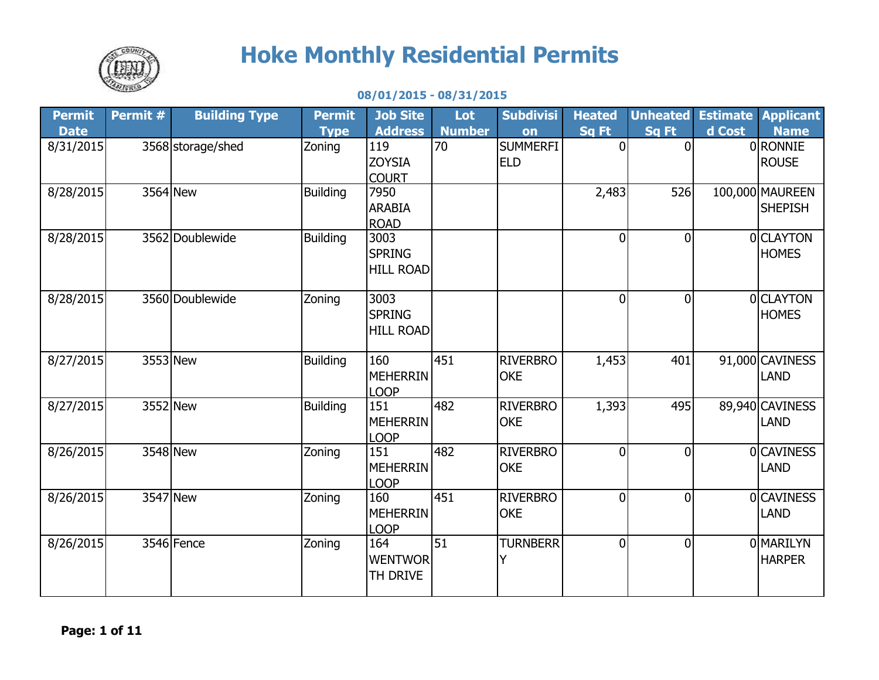

## **Hoke Monthly Residential Permits**

## **08/01/2015 - 08/31/2015**

| <b>Permit</b> | Permit # | <b>Building Type</b> | <b>Permit</b>   | <b>Job Site</b>     | Lot           | <b>Subdivisi</b> | <b>Heated</b>  | <b>Unheated</b> |        | <b>Estimate Applicant</b>      |
|---------------|----------|----------------------|-----------------|---------------------|---------------|------------------|----------------|-----------------|--------|--------------------------------|
| <b>Date</b>   |          |                      | <b>Type</b>     | <b>Address</b>      | <b>Number</b> | on               | Sq Ft          | Sq Ft           | d Cost | <b>Name</b>                    |
| 8/31/2015     |          | 3568 storage/shed    | Zoning          | 119                 | 70            | <b>SUMMERFI</b>  | $\Omega$       | $\Omega$        |        | 0RONNIE                        |
|               |          |                      |                 | <b>ZOYSIA</b>       |               | <b>ELD</b>       |                |                 |        | <b>ROUSE</b>                   |
|               |          |                      |                 | <b>COURT</b>        |               |                  |                |                 |        |                                |
| 8/28/2015     |          | 3564 New             | <b>Building</b> | 7950                |               |                  | 2,483          | 526             |        | 100,000 MAUREEN                |
|               |          |                      |                 | <b>ARABIA</b>       |               |                  |                |                 |        | <b>SHEPISH</b>                 |
|               |          | 3562 Doublewide      |                 | <b>ROAD</b><br>3003 |               |                  | $\overline{0}$ | $\overline{0}$  |        | 0 CLAYTON                      |
| 8/28/2015     |          |                      | <b>Building</b> | <b>SPRING</b>       |               |                  |                |                 |        | <b>HOMES</b>                   |
|               |          |                      |                 | <b>HILL ROAD</b>    |               |                  |                |                 |        |                                |
|               |          |                      |                 |                     |               |                  |                |                 |        |                                |
| 8/28/2015     |          | 3560 Doublewide      | Zoning          | 3003                |               |                  | $\Omega$       | $\overline{0}$  |        | <b>OCLAYTON</b>                |
|               |          |                      |                 | <b>SPRING</b>       |               |                  |                |                 |        | <b>HOMES</b>                   |
|               |          |                      |                 | <b>HILL ROAD</b>    |               |                  |                |                 |        |                                |
|               |          |                      |                 |                     |               |                  |                |                 |        |                                |
| 8/27/2015     |          | 3553 New             | <b>Building</b> | 160                 | 451           | <b>RIVERBRO</b>  | 1,453          | 401             |        | 91,000 CAVINESS                |
|               |          |                      |                 | MEHERRIN            |               | <b>OKE</b>       |                |                 |        | <b>LAND</b>                    |
|               |          | 3552 New             |                 | <b>LOOP</b><br>151  | 482           | <b>RIVERBRO</b>  |                |                 |        |                                |
| 8/27/2015     |          |                      | <b>Building</b> | <b>MEHERRIN</b>     |               | <b>OKE</b>       | 1,393          | 495             |        | 89,940 CAVINESS<br><b>LAND</b> |
|               |          |                      |                 | <b>LOOP</b>         |               |                  |                |                 |        |                                |
| 8/26/2015     |          | 3548 New             | Zoning          | 151                 | 482           | <b>RIVERBRO</b>  | $\overline{0}$ | $\overline{0}$  |        | <b>OCAVINESS</b>               |
|               |          |                      |                 | <b>MEHERRIN</b>     |               | <b>OKE</b>       |                |                 |        | <b>LAND</b>                    |
|               |          |                      |                 | <b>LOOP</b>         |               |                  |                |                 |        |                                |
| 8/26/2015     |          | 3547 New             | Zoning          | 160                 | 451           | <b>RIVERBRO</b>  | 0              | $\overline{0}$  |        | <b>OCAVINESS</b>               |
|               |          |                      |                 | <b>MEHERRIN</b>     |               | <b>OKE</b>       |                |                 |        | <b>LAND</b>                    |
|               |          |                      |                 | <b>LOOP</b>         |               |                  |                |                 |        |                                |
| 8/26/2015     |          | 3546 Fence           | Zoning          | 164                 | 51            | <b>TURNBERR</b>  | $\overline{0}$ | $\overline{0}$  |        | <b>OMARILYN</b>                |
|               |          |                      |                 | <b>WENTWOR</b>      |               |                  |                |                 |        | <b>HARPER</b>                  |
|               |          |                      |                 | <b>TH DRIVE</b>     |               |                  |                |                 |        |                                |
|               |          |                      |                 |                     |               |                  |                |                 |        |                                |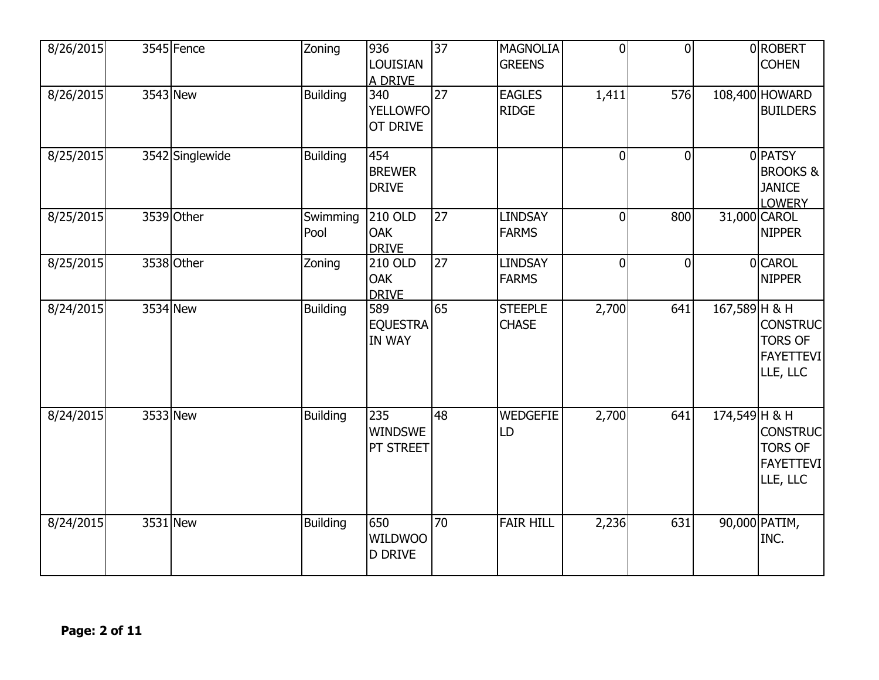| 8/26/2015 | 3545 Fence      | Zoning           | 936<br><b>LOUISIAN</b><br>A DRIVE       | $\overline{37}$ | <b>MAGNOLIA</b><br><b>GREENS</b> | $\overline{0}$ | $\Omega$       |               | 0ROBERT<br><b>COHEN</b>                                           |
|-----------|-----------------|------------------|-----------------------------------------|-----------------|----------------------------------|----------------|----------------|---------------|-------------------------------------------------------------------|
| 8/26/2015 | 3543 New        | <b>Building</b>  | 340<br>YELLOWFO<br><b>OT DRIVE</b>      | $\overline{27}$ | <b>EAGLES</b><br><b>RIDGE</b>    | 1,411          | 576            |               | 108,400 HOWARD<br><b>BUILDERS</b>                                 |
| 8/25/2015 | 3542 Singlewide | <b>Building</b>  | 454<br><b>BREWER</b><br><b>DRIVE</b>    |                 |                                  | $\mathbf 0$    | $\overline{0}$ |               | 0PATSY<br><b>BROOKS &amp;</b><br><b>JANICE</b><br><b>LOWERY</b>   |
| 8/25/2015 | 3539 Other      | Swimming<br>Pool | 210 OLD<br><b>OAK</b><br><b>DRIVE</b>   | 27              | <b>LINDSAY</b><br><b>FARMS</b>   | $\overline{0}$ | 800            |               | 31,000 CAROL<br><b>NIPPER</b>                                     |
| 8/25/2015 | 3538 Other      | Zoning           | 210 OLD<br><b>OAK</b><br><b>DRIVE</b>   | $\overline{27}$ | <b>LINDSAY</b><br><b>FARMS</b>   | $\overline{0}$ | $\Omega$       |               | 0 CAROL<br><b>NIPPER</b>                                          |
| 8/24/2015 | 3534 New        | <b>Building</b>  | 589<br><b>EQUESTRA</b><br><b>IN WAY</b> | 65              | <b>STEEPLE</b><br><b>CHASE</b>   | 2,700          | 641            | 167,589 H & H | <b>CONSTRUC</b><br><b>TORS OF</b><br><b>FAYETTEVI</b><br>LLE, LLC |
| 8/24/2015 | 3533 New        | <b>Building</b>  | 235<br><b>WINDSWE</b><br>PT STREET      | 48              | <b>WEDGEFIE</b><br>LD            | 2,700          | 641            | 174,549 H & H | <b>CONSTRUC</b><br><b>TORS OF</b><br><b>FAYETTEVI</b><br>LLE, LLC |
| 8/24/2015 | 3531 New        | <b>Building</b>  | 650<br><b>WILDWOO</b><br><b>D DRIVE</b> | 70              | <b>FAIR HILL</b>                 | 2,236          | 631            |               | 90,000 PATIM,<br>INC.                                             |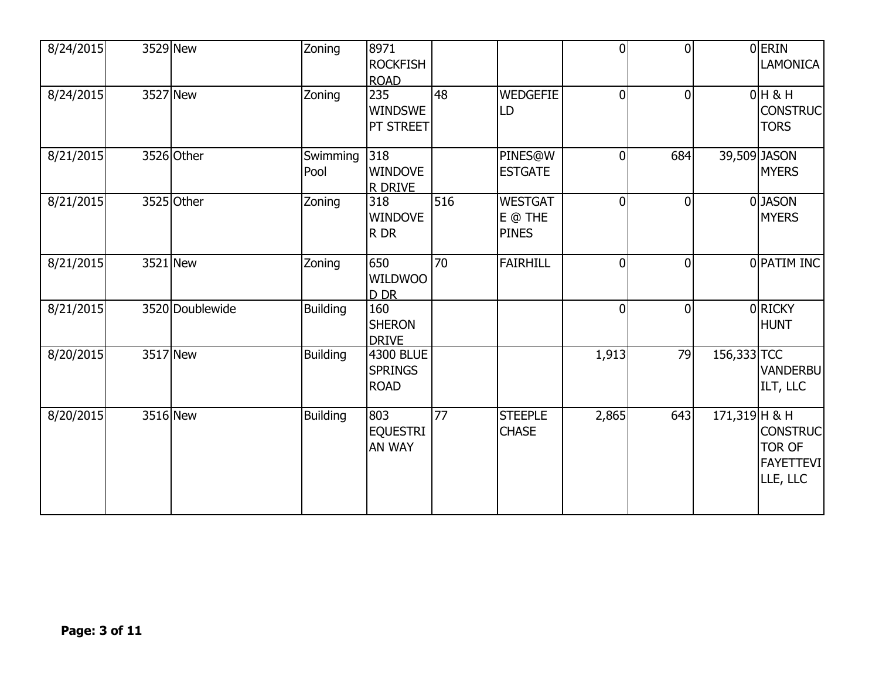| 8/24/2015 | 3529 New        | Zoning           | 8971<br><b>ROCKFISH</b><br><b>ROAD</b>     |     |                                           | $\overline{0}$ | $\Omega$     |                 | 0ERIN<br>LAMONICA                                                |
|-----------|-----------------|------------------|--------------------------------------------|-----|-------------------------------------------|----------------|--------------|-----------------|------------------------------------------------------------------|
| 8/24/2015 | 3527 New        | Zoning           | 235<br><b>WINDSWE</b><br>PT STREET         | 48  | <b>WEDGEFIE</b><br>LD                     | $\overline{0}$ | $\mathbf{0}$ |                 | $0H$ & H<br><b>CONSTRUC</b><br><b>TORS</b>                       |
| 8/21/2015 | 3526 Other      | Swimming<br>Pool | 318<br><b>WINDOVE</b><br><b>R DRIVE</b>    |     | PINES@W<br><b>ESTGATE</b>                 | $\overline{0}$ | 684          |                 | 39,509 JASON<br><b>MYERS</b>                                     |
| 8/21/2015 | 3525 Other      | Zoning           | 318<br><b>WINDOVE</b><br>R DR              | 516 | <b>WESTGAT</b><br>E @ THE<br><b>PINES</b> | $\overline{0}$ | $\Omega$     |                 | 0JASON<br><b>MYERS</b>                                           |
| 8/21/2015 | 3521 New        | Zoning           | 650<br><b>WILDWOO</b><br>D DR              | 70  | <b>FAIRHILL</b>                           | $\overline{0}$ | $\Omega$     |                 | 0 PATIM INC                                                      |
| 8/21/2015 | 3520 Doublewide | <b>Building</b>  | 160<br><b>SHERON</b><br><b>DRIVE</b>       |     |                                           | $\overline{0}$ | $\mathbf{0}$ |                 | 0RICKY<br><b>HUNT</b>                                            |
| 8/20/2015 | 3517 New        | <b>Building</b>  | 4300 BLUE<br><b>SPRINGS</b><br><b>ROAD</b> |     |                                           | 1,913          | 79           | 156,333 TCC     | <b>VANDERBU</b><br>ILT, LLC                                      |
| 8/20/2015 | 3516 New        | <b>Building</b>  | 803<br><b>EQUESTRI</b><br><b>AN WAY</b>    | 77  | <b>STEEPLE</b><br><b>CHASE</b>            | 2,865          | 643          | $171,319$ H & H | <b>CONSTRUC</b><br><b>TOR OF</b><br><b>FAYETTEVI</b><br>LLE, LLC |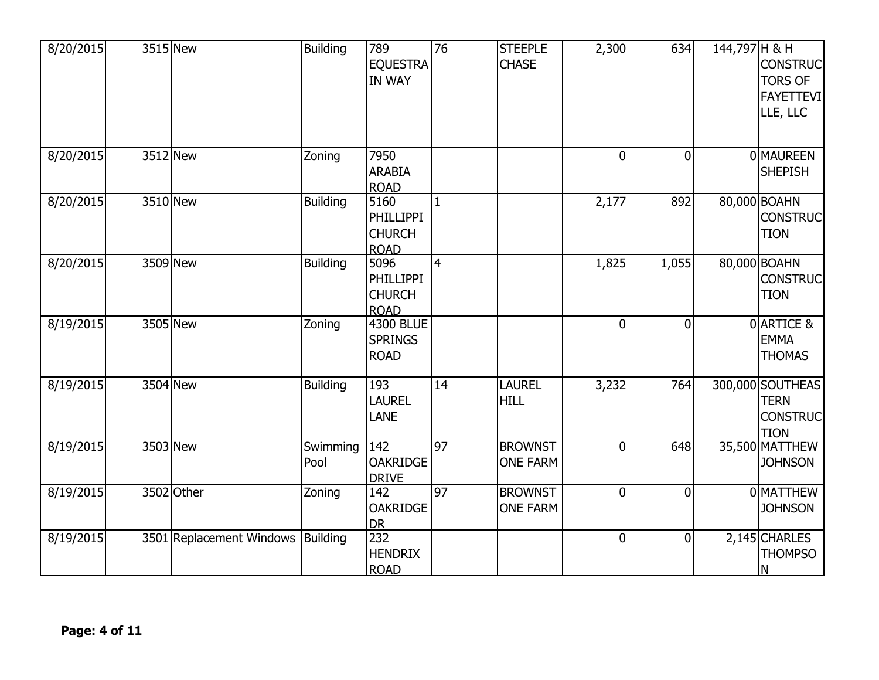| 8/20/2015 | 3515 New                          | <b>Building</b>  | 789<br><b>EQUESTRA</b><br><b>IN WAY</b>                  | 76              | <b>STEEPLE</b><br><b>CHASE</b>    | 2,300          | 634          | 144,797 H & H | <b>CONSTRUC</b><br><b>TORS OF</b><br><b>FAYETTEVI</b><br>LLE, LLC |
|-----------|-----------------------------------|------------------|----------------------------------------------------------|-----------------|-----------------------------------|----------------|--------------|---------------|-------------------------------------------------------------------|
| 8/20/2015 | 3512 New                          | Zoning           | 7950<br><b>ARABIA</b><br><b>ROAD</b>                     |                 |                                   | $\overline{0}$ | $\mathbf{0}$ |               | <b>OMAUREEN</b><br><b>SHEPISH</b>                                 |
| 8/20/2015 | 3510 New                          | <b>Building</b>  | 5160<br><b>PHILLIPPI</b><br><b>CHURCH</b><br><b>ROAD</b> | 1               |                                   | 2,177          | 892          |               | 80,000 BOAHN<br><b>CONSTRUC</b><br><b>TION</b>                    |
| 8/20/2015 | 3509 New                          | <b>Building</b>  | 5096<br><b>PHILLIPPI</b><br><b>CHURCH</b><br><b>ROAD</b> | $\overline{4}$  |                                   | 1,825          | 1,055        |               | 80,000 BOAHN<br><b>CONSTRUC</b><br><b>TION</b>                    |
| 8/19/2015 | 3505 New                          | Zoning           | <b>4300 BLUE</b><br><b>SPRINGS</b><br><b>ROAD</b>        |                 |                                   | $\overline{0}$ | $\Omega$     |               | 0 ARTICE &<br><b>EMMA</b><br><b>THOMAS</b>                        |
| 8/19/2015 | 3504 New                          | <b>Building</b>  | 193<br><b>LAUREL</b><br><b>LANE</b>                      | 14              | <b>LAUREL</b><br><b>HILL</b>      | 3,232          | 764          |               | 300,000 SOUTHEAS<br><b>TERN</b><br><b>CONSTRUC</b><br><b>TION</b> |
| 8/19/2015 | 3503 New                          | Swimming<br>Pool | 142<br><b>OAKRIDGE</b><br><b>DRIVE</b>                   | 97              | <b>BROWNST</b><br><b>ONE FARM</b> | $\overline{0}$ | 648          |               | 35,500 MATTHEW<br><b>JOHNSON</b>                                  |
| 8/19/2015 | 3502 Other                        | Zoning           | 142<br><b>OAKRIDGE</b><br><b>DR</b>                      | $\overline{97}$ | <b>BROWNST</b><br><b>ONE FARM</b> | $\overline{0}$ | $\Omega$     |               | 0 MATTHEW<br><b>JOHNSON</b>                                       |
| 8/19/2015 | 3501 Replacement Windows Building |                  | 232<br><b>HENDRIX</b><br><b>ROAD</b>                     |                 |                                   | $\overline{0}$ | $\mathbf{0}$ |               | 2,145 CHARLES<br><b>THOMPSO</b><br>N                              |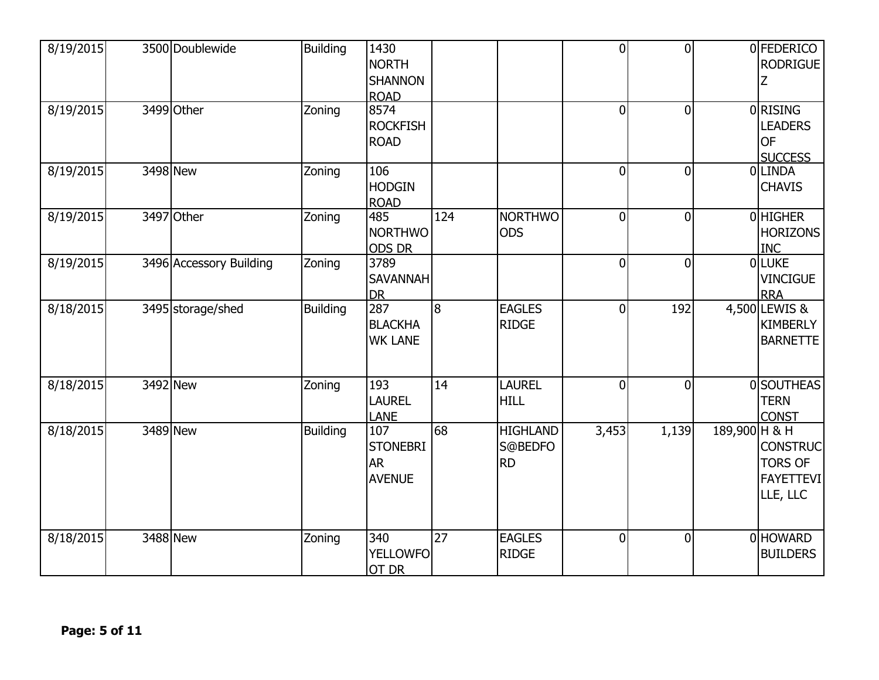| 8/19/2015 | 3500 Doublewide         | <b>Building</b> | 1430<br><b>NORTH</b><br><b>SHANNON</b><br><b>ROAD</b> |     |                                         | $\overline{0}$ | $\theta$       |               | 0 FEDERICO<br><b>RODRIGUE</b>                                     |
|-----------|-------------------------|-----------------|-------------------------------------------------------|-----|-----------------------------------------|----------------|----------------|---------------|-------------------------------------------------------------------|
| 8/19/2015 | 3499 Other              | Zoning          | 8574<br><b>ROCKFISH</b><br><b>ROAD</b>                |     |                                         | $\overline{0}$ | $\overline{0}$ |               | 0 RISING<br><b>LEADERS</b><br><b>OF</b><br><b>SUCCESS</b>         |
| 8/19/2015 | 3498 New                | Zoning          | 106<br><b>HODGIN</b><br><b>ROAD</b>                   |     |                                         | $\overline{0}$ | $\overline{0}$ |               | 0LINDA<br><b>CHAVIS</b>                                           |
| 8/19/2015 | 3497 Other              | Zoning          | 485<br><b>NORTHWO</b><br><b>ODS DR</b>                | 124 | <b>NORTHWO</b><br><b>ODS</b>            | $\overline{0}$ | $\overline{0}$ |               | 0HIGHER<br><b>HORIZONS</b><br><b>INC</b>                          |
| 8/19/2015 | 3496 Accessory Building | Zoning          | 3789<br><b>SAVANNAH</b><br><b>DR</b>                  |     |                                         | $\overline{0}$ | $\theta$       |               | 0LUKE<br><b>VINCIGUE</b><br><b>RRA</b>                            |
| 8/18/2015 | 3495 storage/shed       | <b>Building</b> | 287<br><b>BLACKHA</b><br><b>WK LANE</b>               | 8   | <b>EAGLES</b><br><b>RIDGE</b>           | $\overline{0}$ | 192            |               | 4,500 LEWIS &<br>KIMBERLY<br><b>BARNETTE</b>                      |
| 8/18/2015 | 3492 New                | Zoning          | 193<br><b>LAUREL</b><br><b>LANE</b>                   | 14  | <b>LAUREL</b><br><b>HILL</b>            | $\overline{0}$ | $\overline{0}$ |               | 0 SOUTHEAS<br><b>TERN</b><br><b>CONST</b>                         |
| 8/18/2015 | 3489 New                | <b>Building</b> | 107<br><b>STONEBRI</b><br><b>AR</b><br><b>AVENUE</b>  | 68  | <b>HIGHLAND</b><br>S@BEDFO<br><b>RD</b> | 3,453          | 1,139          | 189,900 H & H | <b>CONSTRUC</b><br><b>TORS OF</b><br><b>FAYETTEVI</b><br>LLE, LLC |
| 8/18/2015 | 3488 New                | Zoning          | 340<br><b>YELLOWFO</b><br>OT DR                       | 27  | <b>EAGLES</b><br><b>RIDGE</b>           | $\overline{0}$ | $\Omega$       |               | 0 HOWARD<br><b>BUILDERS</b>                                       |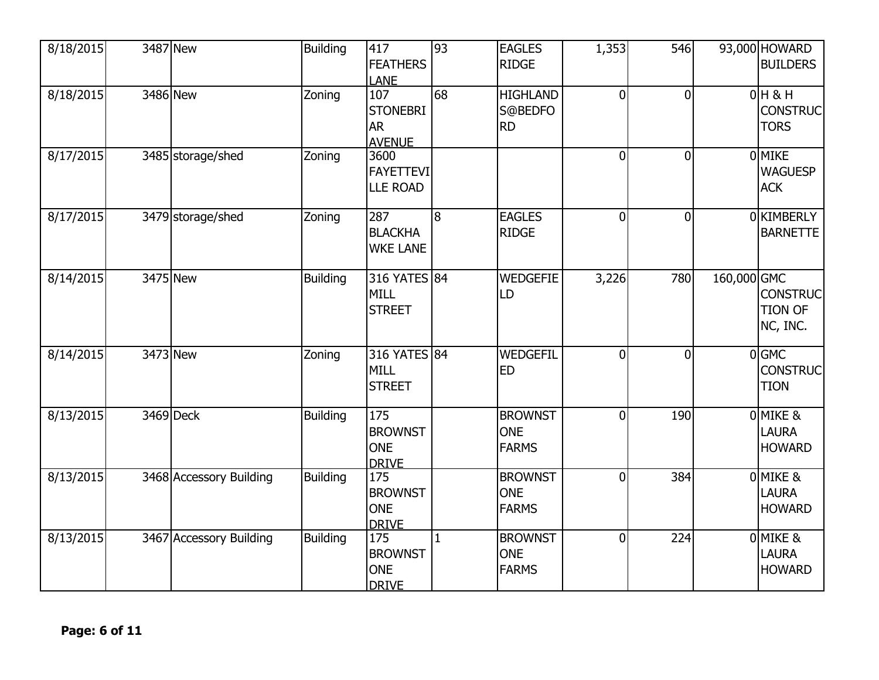| 8/18/2015 | 3487 New                | <b>Building</b> | 417<br><b>FEATHERS</b><br><b>LANE</b>                | 93           | <b>EAGLES</b><br><b>RIDGE</b>                | 1,353          | 546            |             | 93,000 HOWARD<br><b>BUILDERS</b>              |
|-----------|-------------------------|-----------------|------------------------------------------------------|--------------|----------------------------------------------|----------------|----------------|-------------|-----------------------------------------------|
| 8/18/2015 | 3486 New                | Zoning          | 107<br><b>STONEBRI</b><br><b>AR</b><br><b>AVENUE</b> | 68           | <b>HIGHLAND</b><br>S@BEDFO<br><b>RD</b>      | $\mathbf 0$    | $\Omega$       |             | $0H$ & H<br><b>CONSTRUC</b><br><b>TORS</b>    |
| 8/17/2015 | 3485 storage/shed       | Zoning          | 3600<br><b>FAYETTEVI</b><br><b>LLE ROAD</b>          |              |                                              | $\overline{0}$ | $\overline{0}$ |             | 0 MIKE<br><b>WAGUESP</b><br><b>ACK</b>        |
| 8/17/2015 | 3479 storage/shed       | Zoning          | 287<br><b>BLACKHA</b><br><b>WKE LANE</b>             | 8            | <b>EAGLES</b><br><b>RIDGE</b>                | $\overline{0}$ | $\mathbf 0$    |             | 0 KIMBERLY<br><b>BARNETTE</b>                 |
| 8/14/2015 | 3475 New                | <b>Building</b> | 316 YATES 84<br><b>MILL</b><br><b>STREET</b>         |              | <b>WEDGEFIE</b><br>LD                        | 3,226          | 780            | 160,000 GMC | <b>CONSTRUC</b><br><b>TION OF</b><br>NC, INC. |
| 8/14/2015 | 3473 New                | Zoning          | 316 YATES 84<br><b>MILL</b><br><b>STREET</b>         |              | WEDGEFIL<br><b>ED</b>                        | $\overline{0}$ | $\Omega$       |             | $0$ GMC<br><b>CONSTRUC</b><br><b>TION</b>     |
| 8/13/2015 | 3469 Deck               | <b>Building</b> | 175<br><b>BROWNST</b><br><b>ONE</b><br><b>DRIVE</b>  |              | <b>BROWNST</b><br><b>ONE</b><br><b>FARMS</b> | $\overline{0}$ | 190            |             | 0 MIKE &<br><b>LAURA</b><br><b>HOWARD</b>     |
| 8/13/2015 | 3468 Accessory Building | <b>Building</b> | 175<br><b>BROWNST</b><br><b>ONE</b><br><b>DRIVE</b>  |              | <b>BROWNST</b><br><b>ONE</b><br><b>FARMS</b> | $\Omega$       | 384            |             | 0 MIKE &<br>LAURA<br><b>HOWARD</b>            |
| 8/13/2015 | 3467 Accessory Building | <b>Building</b> | 175<br><b>BROWNST</b><br><b>ONE</b><br><b>DRIVE</b>  | $\mathbf{1}$ | <b>BROWNST</b><br><b>ONE</b><br><b>FARMS</b> | $\overline{0}$ | 224            |             | 0 MIKE &<br><b>LAURA</b><br><b>HOWARD</b>     |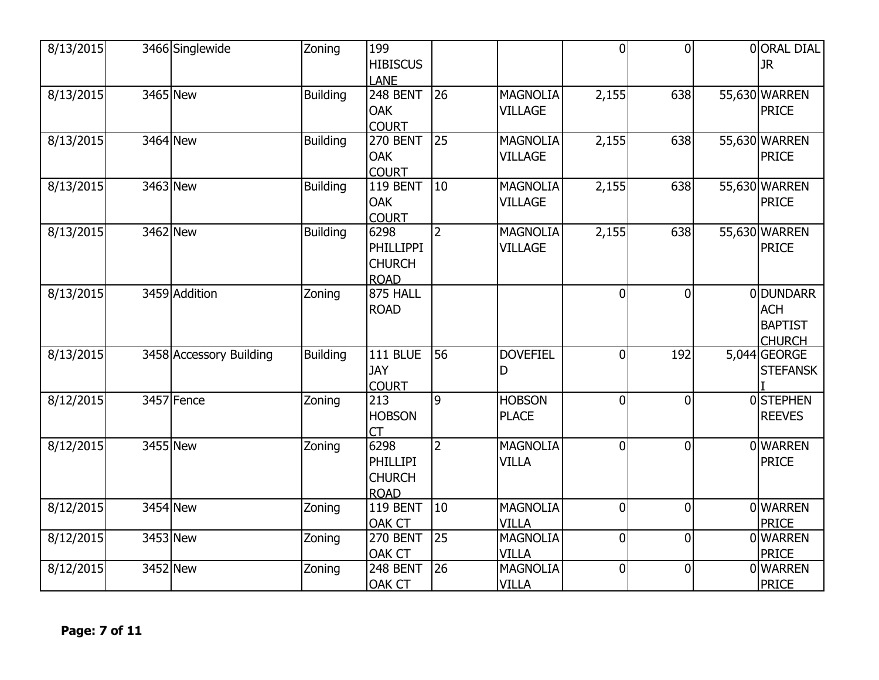| 8/13/2015 | 3466 Singlewide         | Zoning          | 199<br><b>HIBISCUS</b><br>LANE                           |                |                                   | $\Omega$       | $\Omega$       | 00RAL DIAL<br>JR.                                                |
|-----------|-------------------------|-----------------|----------------------------------------------------------|----------------|-----------------------------------|----------------|----------------|------------------------------------------------------------------|
| 8/13/2015 | 3465 New                | <b>Building</b> | 248 BENT<br><b>OAK</b><br><b>COURT</b>                   | 26             | <b>MAGNOLIA</b><br><b>VILLAGE</b> | 2,155          | 638            | 55,630 WARREN<br><b>PRICE</b>                                    |
| 8/13/2015 | 3464 New                | <b>Building</b> | <b>270 BENT</b><br><b>OAK</b><br><b>COURT</b>            | 25             | <b>MAGNOLIA</b><br><b>VILLAGE</b> | 2,155          | 638            | 55,630 WARREN<br><b>PRICE</b>                                    |
| 8/13/2015 | 3463 New                | <b>Building</b> | 119 BENT<br><b>OAK</b><br><b>COURT</b>                   | 10             | <b>MAGNOLIA</b><br><b>VILLAGE</b> | 2,155          | 638            | 55,630 WARREN<br><b>PRICE</b>                                    |
| 8/13/2015 | 3462 New                | <b>Building</b> | 6298<br><b>PHILLIPPI</b><br><b>CHURCH</b><br><b>ROAD</b> | $\overline{2}$ | <b>MAGNOLIA</b><br><b>VILLAGE</b> | 2,155          | 638            | 55,630 WARREN<br><b>PRICE</b>                                    |
| 8/13/2015 | 3459 Addition           | Zoning          | 875 HALL<br><b>ROAD</b>                                  |                |                                   | $\overline{0}$ | $\Omega$       | <b>ODUNDARR</b><br><b>ACH</b><br><b>BAPTIST</b><br><b>CHURCH</b> |
| 8/13/2015 | 3458 Accessory Building | Building        | <b>111 BLUE</b><br><b>JAY</b><br><b>COURT</b>            | 56             | <b>DOVEFIEL</b><br>D              | $\overline{0}$ | 192            | 5,044 GEORGE<br><b>STEFANSK</b>                                  |
| 8/12/2015 | 3457 Fence              | Zoning          | 213<br><b>HOBSON</b><br>СT                               | 9              | <b>HOBSON</b><br><b>PLACE</b>     | $\overline{0}$ | $\Omega$       | <b>OSTEPHEN</b><br><b>REEVES</b>                                 |
| 8/12/2015 | 3455 New                | Zoning          | 6298<br><b>PHILLIPI</b><br><b>CHURCH</b><br><b>ROAD</b>  | $\overline{2}$ | <b>MAGNOLIA</b><br><b>VILLA</b>   | $\overline{0}$ | $\overline{0}$ | 0 WARREN<br><b>PRICE</b>                                         |
| 8/12/2015 | 3454 New                | Zoning          | 119 BENT<br><b>OAK CT</b>                                | 10             | <b>MAGNOLIA</b><br><b>VILLA</b>   | $\theta$       | $\Omega$       | 0 WARREN<br><b>PRICE</b>                                         |
| 8/12/2015 | 3453 New                | Zoning          | <b>270 BENT</b><br><b>OAK CT</b>                         | 25             | <b>MAGNOLIA</b><br><b>VILLA</b>   | $\mathbf 0$    | $\overline{0}$ | <b>OWARREN</b><br><b>PRICE</b>                                   |
| 8/12/2015 | 3452 New                | Zoning          | 248 BENT<br><b>OAK CT</b>                                | 26             | <b>MAGNOLIA</b><br><b>VILLA</b>   | $\overline{0}$ | $\overline{0}$ | <b>OWARREN</b><br><b>PRICE</b>                                   |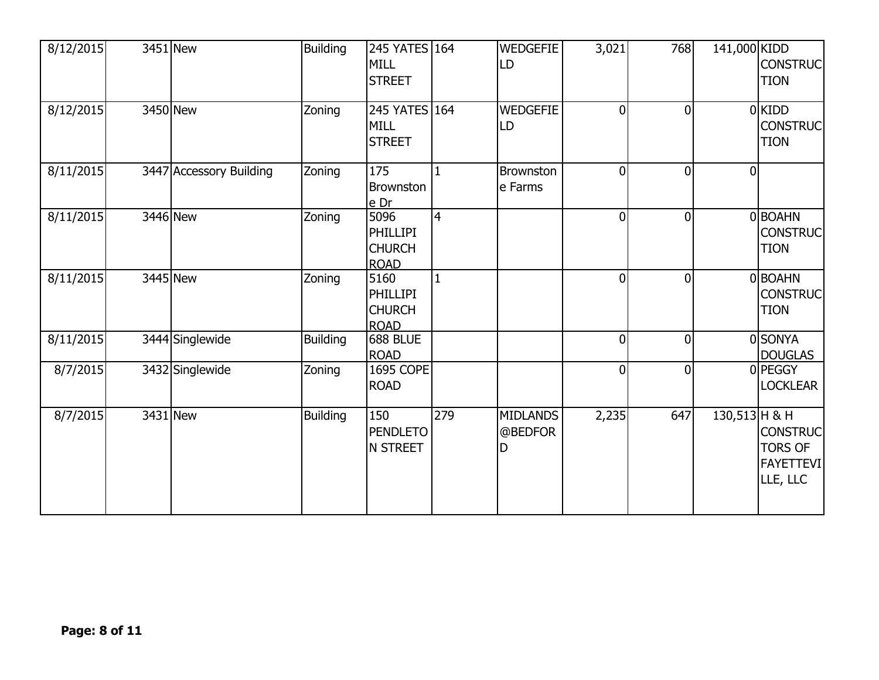| 8/12/2015 | 3451 New                | <b>Building</b> | 245 YATES 164<br><b>MILL</b><br><b>STREET</b>           |                | <b>WEDGEFIE</b><br>LD           | 3,021          | 768            | 141,000 KIDD   | <b>CONSTRUC</b><br><b>TION</b>                                    |
|-----------|-------------------------|-----------------|---------------------------------------------------------|----------------|---------------------------------|----------------|----------------|----------------|-------------------------------------------------------------------|
| 8/12/2015 | 3450 New                | Zoning          | 245 YATES 164<br><b>MILL</b><br><b>STREET</b>           |                | <b>WEDGEFIE</b><br><b>ILD</b>   | $\Omega$       | $\Omega$       |                | $0$ KIDD<br><b>CONSTRUC</b><br><b>TION</b>                        |
| 8/11/2015 | 3447 Accessory Building | Zoning          | 175<br><b>Brownston</b><br>e Dr                         | $\mathbf{1}$   | <b>Brownston</b><br>e Farms     | $\Omega$       | $\overline{0}$ | $\overline{0}$ |                                                                   |
| 8/11/2015 | 3446 New                | Zoning          | 5096<br><b>PHILLIPI</b><br><b>CHURCH</b><br><b>ROAD</b> | $\overline{4}$ |                                 | $\mathbf 0$    | $\overline{0}$ |                | 0BOAHN<br><b>CONSTRUC</b><br><b>TION</b>                          |
| 8/11/2015 | 3445 New                | Zoning          | 5160<br>PHILLIPI<br><b>CHURCH</b><br><b>ROAD</b>        | 1              |                                 | $\Omega$       | $\Omega$       |                | 0BOAHN<br><b>CONSTRUC</b><br><b>TION</b>                          |
| 8/11/2015 | 3444 Singlewide         | <b>Building</b> | 688 BLUE<br><b>ROAD</b>                                 |                |                                 | $\Omega$       | $\overline{0}$ |                | 0 SONYA<br><b>DOUGLAS</b>                                         |
| 8/7/2015  | 3432 Singlewide         | Zoning          | <b>1695 COPE</b><br><b>ROAD</b>                         |                |                                 | $\overline{0}$ | $\overline{0}$ |                | 0 PEGGY<br><b>LOCKLEAR</b>                                        |
| 8/7/2015  | $3431$ New              | <b>Building</b> | 150<br><b>PENDLETO</b><br><b>N STREET</b>               | 279            | <b>MIDLANDS</b><br>@BEDFOR<br>D | 2,235          | 647            | 130,513 H & H  | <b>CONSTRUC</b><br><b>TORS OF</b><br><b>FAYETTEVI</b><br>LLE, LLC |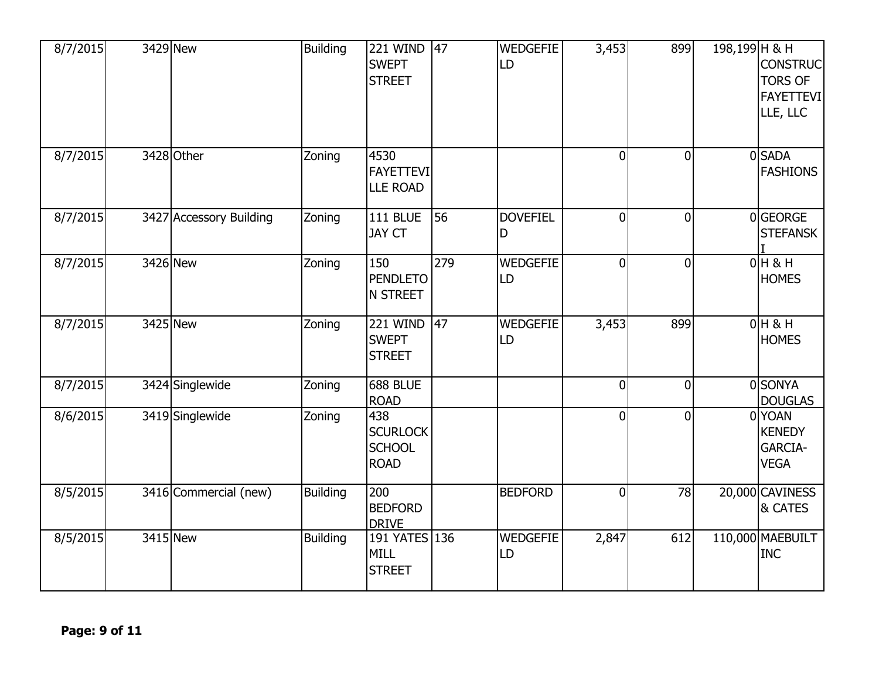| 8/7/2015 | 3429 New                | <b>Building</b> | <b>221 WIND</b><br><b>SWEPT</b><br><b>STREET</b>       | 47              | <b>WEDGEFIE</b><br>LD | 3,453          | 899            | 198,199 H & H | <b>CONSTRUC</b><br><b>TORS OF</b><br><b>FAYETTEVI</b><br>LLE, LLC |
|----------|-------------------------|-----------------|--------------------------------------------------------|-----------------|-----------------------|----------------|----------------|---------------|-------------------------------------------------------------------|
| 8/7/2015 | 3428 Other              | Zoning          | 4530<br><b>FAYETTEVI</b><br><b>LLE ROAD</b>            |                 |                       | $\overline{0}$ | $\overline{0}$ |               | 0SADA<br><b>FASHIONS</b>                                          |
| 8/7/2015 | 3427 Accessory Building | Zoning          | <b>111 BLUE</b><br><b>JAY CT</b>                       | 56              | <b>DOVEFIEL</b><br>D  | $\overline{0}$ | $\overline{0}$ |               | 0GEORGE<br><b>STEFANSK</b>                                        |
| 8/7/2015 | 3426 New                | Zoning          | 150<br><b>PENDLETO</b><br><b>N STREET</b>              | 279             | <b>WEDGEFIE</b><br>LD | $\mathbf 0$    | $\Omega$       |               | $0H$ & H<br><b>HOMES</b>                                          |
| 8/7/2015 | 3425 New                | Zoning          | 221 WIND<br><b>SWEPT</b><br><b>STREET</b>              | $\overline{47}$ | WEDGEFIE<br>LD        | 3,453          | 899            |               | $0H$ & H<br><b>HOMES</b>                                          |
| 8/7/2015 | 3424 Singlewide         | Zoning          | 688 BLUE<br><b>ROAD</b>                                |                 |                       | $\overline{0}$ | $\Omega$       |               | 0 SONYA<br><b>DOUGLAS</b>                                         |
| 8/6/2015 | 3419 Singlewide         | Zoning          | 438<br><b>SCURLOCK</b><br><b>SCHOOL</b><br><b>ROAD</b> |                 |                       | 0              | $\Omega$       |               | 0YOAN<br><b>KENEDY</b><br><b>GARCIA-</b><br><b>VEGA</b>           |
| 8/5/2015 | 3416 Commercial (new)   | <b>Building</b> | 200<br><b>BEDFORD</b><br><b>DRIVE</b>                  |                 | <b>BEDFORD</b>        | $\mathbf 0$    | 78             |               | 20,000 CAVINESS<br>& CATES                                        |
| 8/5/2015 | 3415 New                | <b>Building</b> | 191 YATES 136<br><b>MILL</b><br><b>STREET</b>          |                 | <b>WEDGEFIE</b><br>LD | 2,847          | 612            |               | 110,000 MAEBUILT<br><b>INC</b>                                    |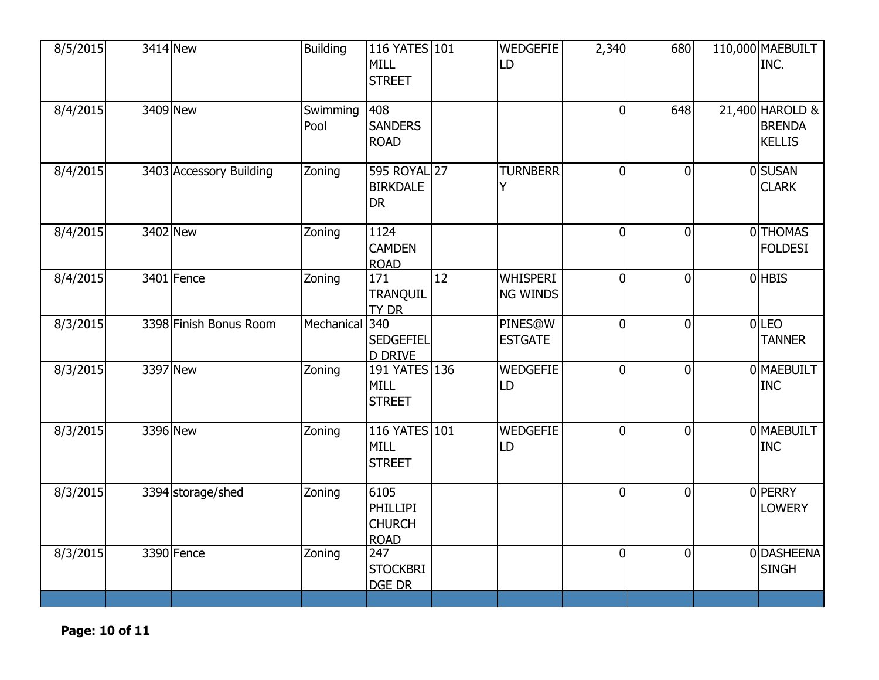| 8/5/2015 | 3414 New                | <b>Building</b>  | 116 YATES 101<br><b>MILL</b><br><b>STREET</b>    |    | <b>WEDGEFIE</b><br>LD              | 2,340          | 680            | 110,000 MAEBUILT<br>INC.                          |
|----------|-------------------------|------------------|--------------------------------------------------|----|------------------------------------|----------------|----------------|---------------------------------------------------|
| 8/4/2015 | 3409 New                | Swimming<br>Pool | 408<br><b>SANDERS</b><br><b>ROAD</b>             |    |                                    | $\overline{0}$ | 648            | 21,400 HAROLD &<br><b>BRENDA</b><br><b>KELLIS</b> |
| 8/4/2015 | 3403 Accessory Building | Zoning           | 595 ROYAL 27<br><b>BIRKDALE</b><br><b>DR</b>     |    | <b>TURNBERR</b>                    | $\overline{0}$ | $\Omega$       | <b>OSUSAN</b><br><b>CLARK</b>                     |
| 8/4/2015 | 3402 New                | Zoning           | 1124<br><b>CAMDEN</b><br><b>ROAD</b>             |    |                                    | $\overline{0}$ | $\Omega$       | 0THOMAS<br><b>FOLDESI</b>                         |
| 8/4/2015 | 3401 Fence              | Zoning           | 171<br>TRANQUIL<br>TY DR                         | 12 | <b>WHISPERI</b><br><b>NG WINDS</b> | $\overline{0}$ | $\Omega$       | 0 HBIS                                            |
| 8/3/2015 | 3398 Finish Bonus Room  | Mechanical 340   | <b>SEDGEFIEL</b><br><b>D DRIVE</b>               |    | PINES@W<br><b>ESTGATE</b>          | $\overline{0}$ | $\overline{0}$ | $0$ LEO<br><b>TANNER</b>                          |
| 8/3/2015 | 3397 New                | Zoning           | 191 YATES 136<br><b>MILL</b><br><b>STREET</b>    |    | <b>WEDGEFIE</b><br>LD              | $\overline{0}$ | $\Omega$       | 0 MAEBUILT<br><b>INC</b>                          |
| 8/3/2015 | 3396 New                | Zoning           | 116 YATES 101<br><b>MILL</b><br><b>STREET</b>    |    | <b>WEDGEFIE</b><br>LD              | $\overline{0}$ | $\Omega$       | 0 MAEBUILT<br><b>INC</b>                          |
| 8/3/2015 | 3394 storage/shed       | Zoning           | 6105<br>PHILLIPI<br><b>CHURCH</b><br><b>ROAD</b> |    |                                    | $\overline{0}$ | $\Omega$       | 0 PERRY<br><b>LOWERY</b>                          |
| 8/3/2015 | 3390 Fence              | Zoning           | 247<br><b>STOCKBRI</b><br><b>DGE DR</b>          |    |                                    | $\overline{0}$ | $\overline{0}$ | 0 DASHEENA<br><b>SINGH</b>                        |

**Page: 10 of 11**